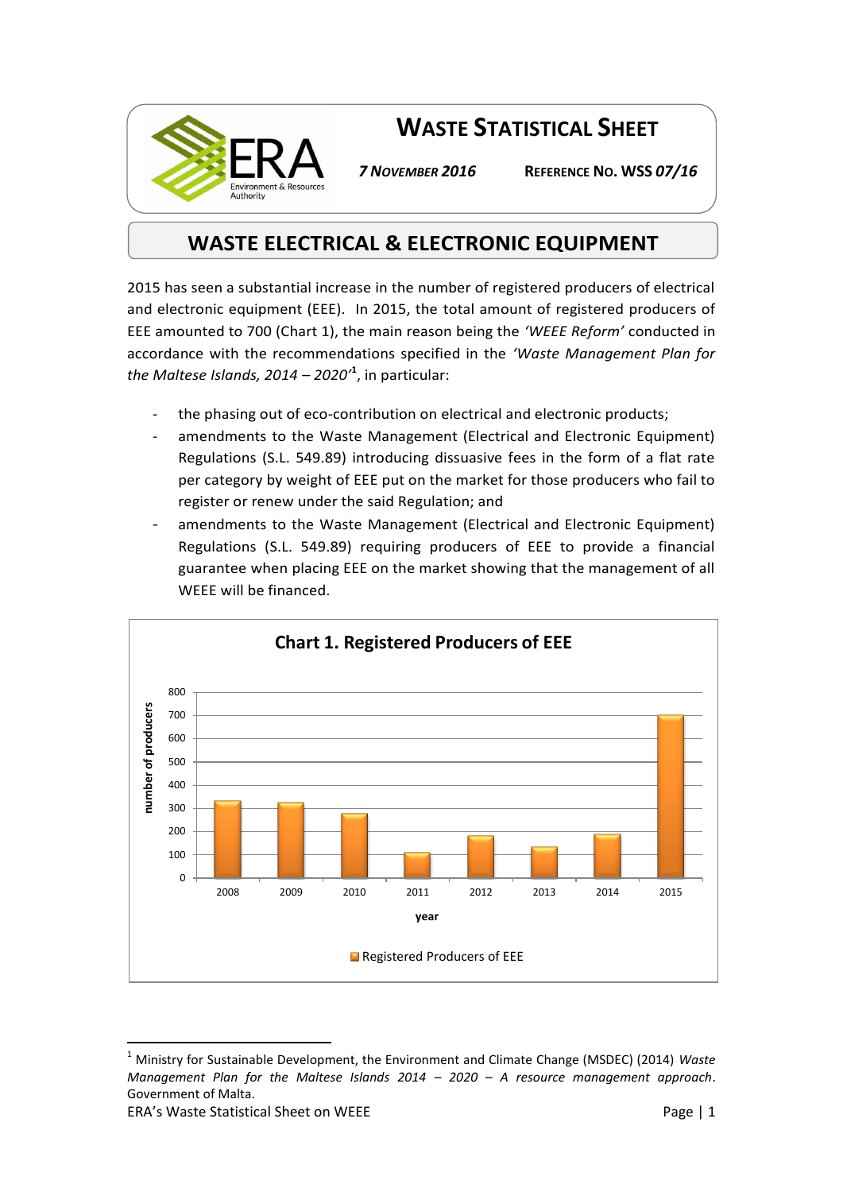

**WASTE STATISTICAL SHEET**

*7 NOVEMBER 2016* **REFERENCE NO. WSS** *07/16*

## **WASTE ELECTRICAL & ELECTRONIC EQUIPMENT**

2015 has seen a substantial increase in the number of registered producers of electrical and electronic equipment (EEE). In 2015, the total amount of registered producers of EEE amounted to 700 (Chart 1), the main reason being the *'WEEE Reform'* conducted in accordance with the recommendations specified in the *'Waste Management Plan for the Maltese Islands, 2014 – 2020'***<sup>1</sup>** , in particular:

- the phasing out of eco-contribution on electrical and electronic products;
- amendments to the Waste Management (Electrical and Electronic Equipment) Regulations (S.L. 549.89) introducing dissuasive fees in the form of a flat rate per category by weight of EEE put on the market for those producers who fail to register or renew under the said Regulation; and
- amendments to the Waste Management (Electrical and Electronic Equipment) Regulations (S.L. 549.89) requiring producers of EEE to provide a financial guarantee when placing EEE on the market showing that the management of all WEEE will be financed.



<sup>1</sup> Ministry for Sustainable Development, the Environment and Climate Change (MSDEC) (2014) *Waste Management Plan for the Maltese Islands 2014 – 2020 – A resource management approach*. Government of Malta.

 $\overline{a}$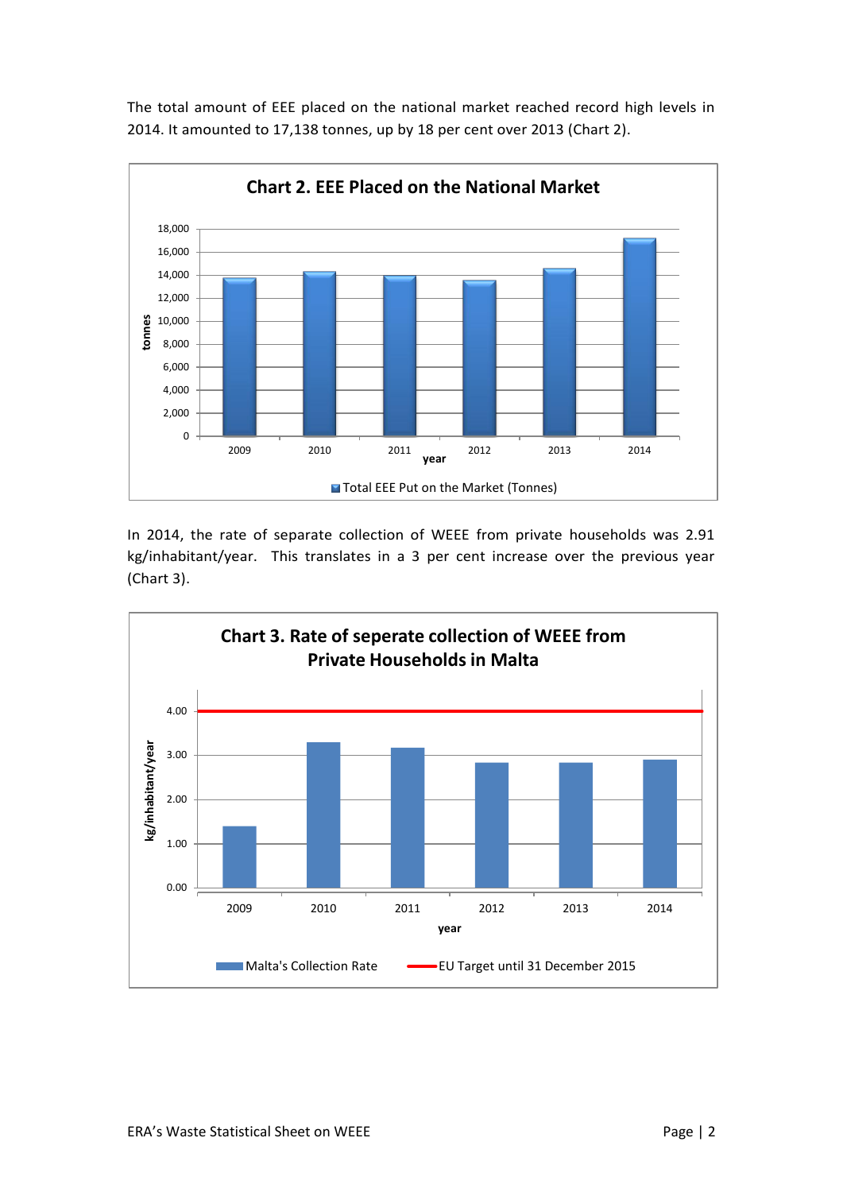

The total amount of EEE placed on the national market reached record high levels in 2014. It amounted to 17,138 tonnes, up by 18 per cent over 2013 (Chart 2).

In 2014, the rate of separate collection of WEEE from private households was 2.91 kg/inhabitant/year. This translates in a 3 per cent increase over the previous year (Chart 3).

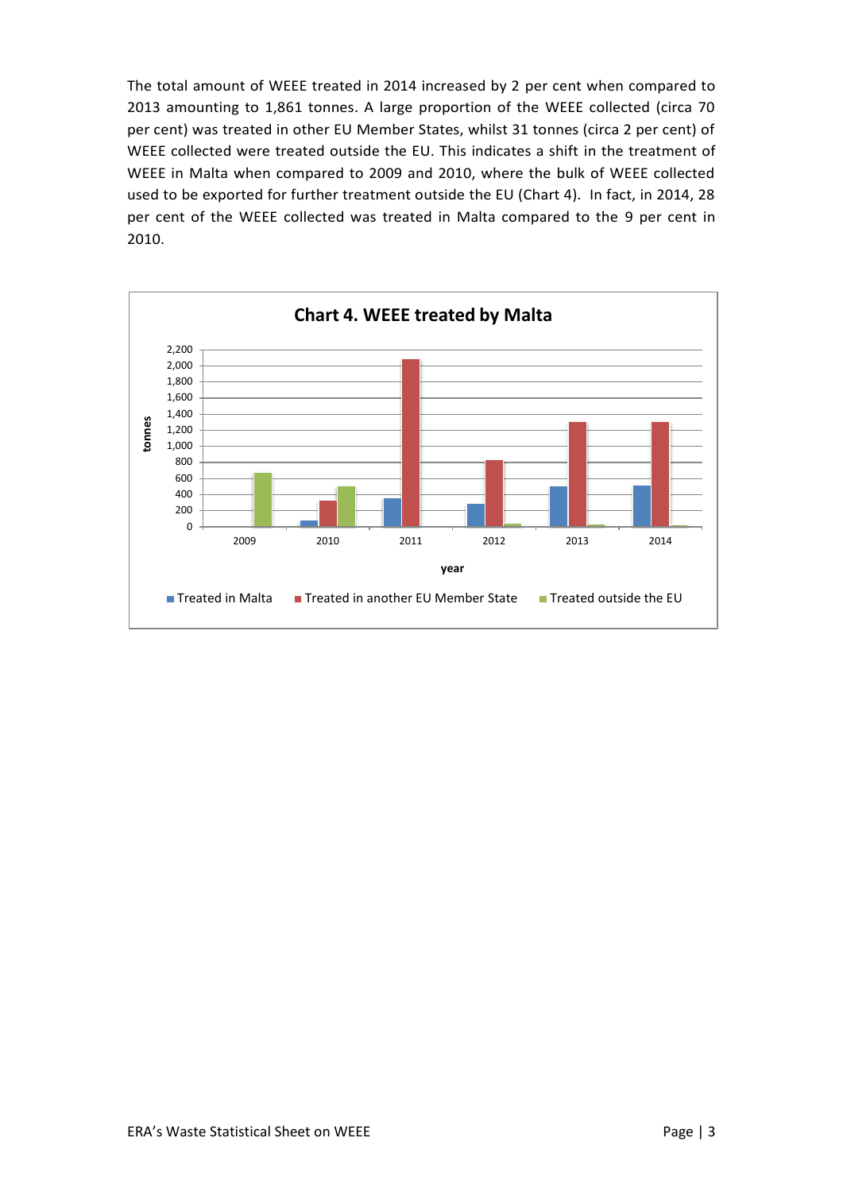The total amount of WEEE treated in 2014 increased by 2 per cent when compared to 2013 amounting to 1,861 tonnes. A large proportion of the WEEE collected (circa 70 per cent) was treated in other EU Member States, whilst 31 tonnes (circa 2 per cent) of WEEE collected were treated outside the EU. This indicates a shift in the treatment of WEEE in Malta when compared to 2009 and 2010, where the bulk of WEEE collected used to be exported for further treatment outside the EU (Chart 4). In fact, in 2014, 28 per cent of the WEEE collected was treated in Malta compared to the 9 per cent in 2010.